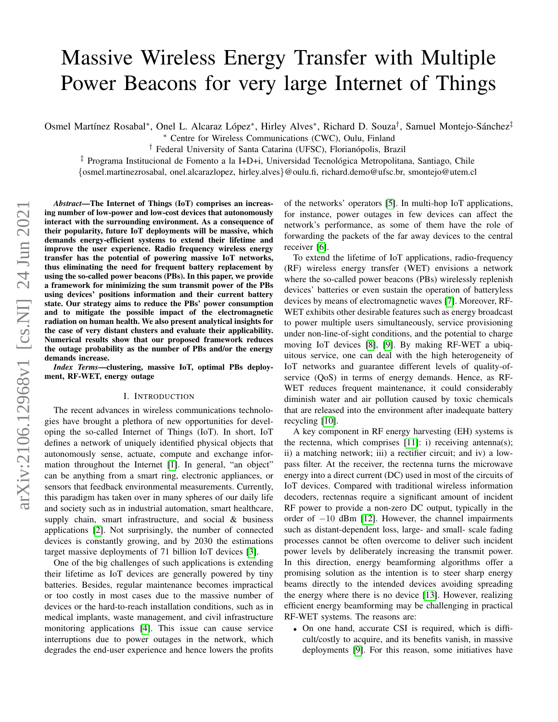# Massive Wireless Energy Transfer with Multiple Power Beacons for very large Internet of Things

Osmel Martínez Rosabal\*, Onel L. Alcaraz López\*, Hirley Alves\*, Richard D. Souza<sup>†</sup>, Samuel Montejo-Sánchez<sup>‡</sup>

<sup>∗</sup> Centre for Wireless Communications (CWC), Oulu, Finland

<sup>†</sup> Federal University of Santa Catarina (UFSC), Florianópolis, Brazil

‡ Programa Institucional de Fomento a la I+D+i, Universidad Tecnologica Metropolitana, Santiago, Chile ´

{osmel.martinezrosabal, onel.alcarazlopez, hirley.alves}@oulu.fi, richard.demo@ufsc.br, smontejo@utem.cl

*Abstract*—The Internet of Things (IoT) comprises an increasing number of low-power and low-cost devices that autonomously interact with the surrounding environment. As a consequence of their popularity, future IoT deployments will be massive, which demands energy-efficient systems to extend their lifetime and improve the user experience. Radio frequency wireless energy transfer has the potential of powering massive IoT networks, thus eliminating the need for frequent battery replacement by using the so-called power beacons (PBs). In this paper, we provide a framework for minimizing the sum transmit power of the PBs using devices' positions information and their current battery state. Our strategy aims to reduce the PBs' power consumption and to mitigate the possible impact of the electromagnetic radiation on human health. We also present analytical insights for the case of very distant clusters and evaluate their applicability. Numerical results show that our proposed framework reduces the outage probability as the number of PBs and/or the energy demands increase.

*Index Terms*—clustering, massive IoT, optimal PBs deployment, RF-WET, energy outage

## I. INTRODUCTION

The recent advances in wireless communications technologies have brought a plethora of new opportunities for developing the so-called Internet of Things (IoT). In short, IoT defines a network of uniquely identified physical objects that autonomously sense, actuate, compute and exchange information throughout the Internet [\[1\]](#page-5-0). In general, "an object" can be anything from a smart ring, electronic appliances, or sensors that feedback environmental measurements. Currently, this paradigm has taken over in many spheres of our daily life and society such as in industrial automation, smart healthcare, supply chain, smart infrastructure, and social & business applications [\[2\]](#page-5-1). Not surprisingly, the number of connected devices is constantly growing, and by 2030 the estimations target massive deployments of 71 billion IoT devices [\[3\]](#page-5-2).

One of the big challenges of such applications is extending their lifetime as IoT devices are generally powered by tiny batteries. Besides, regular maintenance becomes impractical or too costly in most cases due to the massive number of devices or the hard-to-reach installation conditions, such as in medical implants, waste management, and civil infrastructure monitoring applications [\[4\]](#page-5-3). This issue can cause service interruptions due to power outages in the network, which degrades the end-user experience and hence lowers the profits of the networks' operators [\[5\]](#page-5-4). In multi-hop IoT applications, for instance, power outages in few devices can affect the network's performance, as some of them have the role of forwarding the packets of the far away devices to the central receiver [\[6\]](#page-5-5).

To extend the lifetime of IoT applications, radio-frequency (RF) wireless energy transfer (WET) envisions a network where the so-called power beacons (PBs) wirelessly replenish devices' batteries or even sustain the operation of batteryless devices by means of electromagnetic waves [\[7\]](#page-5-6). Moreover, RF-WET exhibits other desirable features such as energy broadcast to power multiple users simultaneously, service provisioning under non-line-of-sight conditions, and the potential to charge moving IoT devices [\[8\]](#page-5-7), [\[9\]](#page-5-8). By making RF-WET a ubiquitous service, one can deal with the high heterogeneity of IoT networks and guarantee different levels of quality-ofservice (QoS) in terms of energy demands. Hence, as RF-WET reduces frequent maintenance, it could considerably diminish water and air pollution caused by toxic chemicals that are released into the environment after inadequate battery recycling [\[10\]](#page-5-9).

A key component in RF energy harvesting (EH) systems is the rectenna, which comprises  $[11]$ : i) receiving antenna(s); ii) a matching network; iii) a rectifier circuit; and iv) a lowpass filter. At the receiver, the rectenna turns the microwave energy into a direct current (DC) used in most of the circuits of IoT devices. Compared with traditional wireless information decoders, rectennas require a significant amount of incident RF power to provide a non-zero DC output, typically in the order of −10 dBm [\[12\]](#page-6-0). However, the channel impairments such as distant-dependent loss, large- and small- scale fading processes cannot be often overcome to deliver such incident power levels by deliberately increasing the transmit power. In this direction, energy beamforming algorithms offer a promising solution as the intention is to steer sharp energy beams directly to the intended devices avoiding spreading the energy where there is no device [\[13\]](#page-6-1). However, realizing efficient energy beamforming may be challenging in practical RF-WET systems. The reasons are:

• On one hand, accurate CSI is required, which is difficult/costly to acquire, and its benefits vanish, in massive deployments [\[9\]](#page-5-8). For this reason, some initiatives have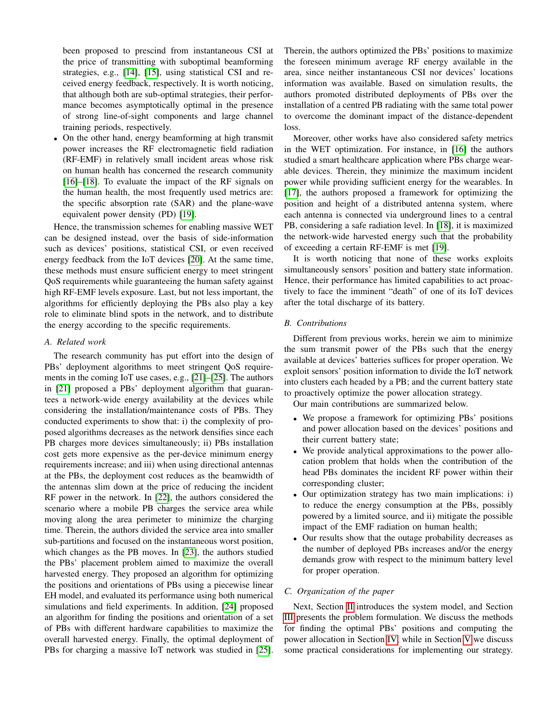been proposed to prescind from instantaneous CSI at the price of transmitting with suboptimal beamforming strategies, e.g., [\[14\]](#page-6-2), [\[15\]](#page-6-3), using statistical CSI and received energy feedback, respectively. It is worth noticing, that although both are sub-optimal strategies, their performance becomes asymptotically optimal in the presence of strong line-of-sight components and large channel training periods, respectively.

• On the other hand, energy beamforming at high transmit power increases the RF electromagnetic field radiation (RF-EMF) in relatively small incident areas whose risk on human health has concerned the research community [\[16\]](#page-6-4)–[\[18\]](#page-6-5). To evaluate the impact of the RF signals on the human health, the most frequently used metrics are: the specific absorption rate (SAR) and the plane-wave equivalent power density (PD) [\[19\]](#page-6-6).

Hence, the transmission schemes for enabling massive WET can be designed instead, over the basis of side-information such as devices' positions, statistical CSI, or even received energy feedback from the IoT devices [\[20\]](#page-6-7). At the same time, these methods must ensure sufficient energy to meet stringent QoS requirements while guaranteeing the human safety against high RF-EMF levels exposure. Last, but not less important, the algorithms for efficiently deploying the PBs also play a key role to eliminate blind spots in the network, and to distribute the energy according to the specific requirements.

## *A. Related work*

The research community has put effort into the design of PBs' deployment algorithms to meet stringent QoS requirements in the coming IoT use cases, e.g., [\[21\]](#page-6-8)–[\[25\]](#page-6-9). The authors in [\[21\]](#page-6-8) proposed a PBs' deployment algorithm that guarantees a network-wide energy availability at the devices while considering the installation/maintenance costs of PBs. They conducted experiments to show that: i) the complexity of proposed algorithms decreases as the network densifies since each PB charges more devices simultaneously; ii) PBs installation cost gets more expensive as the per-device minimum energy requirements increase; and iii) when using directional antennas at the PBs, the deployment cost reduces as the beamwidth of the antennas slim down at the price of reducing the incident RF power in the network. In [\[22\]](#page-6-10), the authors considered the scenario where a mobile PB charges the service area while moving along the area perimeter to minimize the charging time. Therein, the authors divided the service area into smaller sub-partitions and focused on the instantaneous worst position, which changes as the PB moves. In [\[23\]](#page-6-11), the authors studied the PBs' placement problem aimed to maximize the overall harvested energy. They proposed an algorithm for optimizing the positions and orientations of PBs using a piecewise linear EH model, and evaluated its performance using both numerical simulations and field experiments. In addition, [\[24\]](#page-6-12) proposed an algorithm for finding the positions and orientation of a set of PBs with different hardware capabilities to maximize the overall harvested energy. Finally, the optimal deployment of PBs for charging a massive IoT network was studied in [\[25\]](#page-6-9).

Therein, the authors optimized the PBs' positions to maximize the foreseen minimum average RF energy available in the area, since neither instantaneous CSI nor devices' locations information was available. Based on simulation results, the authors promoted distributed deployments of PBs over the installation of a centred PB radiating with the same total power to overcome the dominant impact of the distance-dependent loss.

Moreover, other works have also considered safety metrics in the WET optimization. For instance, in [\[16\]](#page-6-4) the authors studied a smart healthcare application where PBs charge wearable devices. Therein, they minimize the maximum incident power while providing sufficient energy for the wearables. In [\[17\]](#page-6-13), the authors proposed a framework for optimizing the position and height of a distributed antenna system, where each antenna is connected via underground lines to a central PB, considering a safe radiation level. In [\[18\]](#page-6-5), it is maximized the network-wide harvested energy such that the probability of exceeding a certain RF-EMF is met [\[19\]](#page-6-6).

It is worth noticing that none of these works exploits simultaneously sensors' position and battery state information. Hence, their performance has limited capabilities to act proactively to face the imminent "death" of one of its IoT devices after the total discharge of its battery.

# *B. Contributions*

Different from previous works, herein we aim to minimize the sum transmit power of the PBs such that the energy available at devices' batteries suffices for proper operation. We exploit sensors' position information to divide the IoT network into clusters each headed by a PB; and the current battery state to proactively optimize the power allocation strategy.

Our main contributions are summarized below.

- We propose a framework for optimizing PBs' positions and power allocation based on the devices' positions and their current battery state;
- We provide analytical approximations to the power allocation problem that holds when the contribution of the head PBs dominates the incident RF power within their corresponding cluster;
- Our optimization strategy has two main implications: i) to reduce the energy consumption at the PBs, possibly powered by a limited source, and ii) mitigate the possible impact of the EMF radiation on human health;
- Our results show that the outage probability decreases as the number of deployed PBs increases and/or the energy demands grow with respect to the minimum battery level for proper operation.

# *C. Organization of the paper*

Next, Section [II](#page-2-0) introduces the system model, and Section [III](#page-2-1) presents the problem formulation. We discuss the methods for finding the optimal PBs' positions and computing the power allocation in Section [IV,](#page-3-0) while in Section [V](#page-4-0) we discuss some practical considerations for implementing our strategy.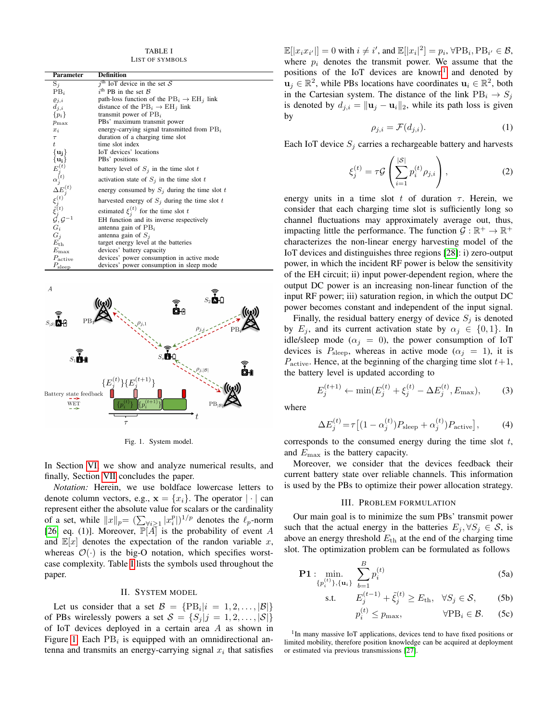TABLE I LIST OF SYMBOLS

<span id="page-2-2"></span>

| Parameter                                                                                                                                                                                                                                                                  | <b>Definition</b>                                      |  |  |
|----------------------------------------------------------------------------------------------------------------------------------------------------------------------------------------------------------------------------------------------------------------------------|--------------------------------------------------------|--|--|
| $S_i$                                                                                                                                                                                                                                                                      | $jth$ IoT device in the set S                          |  |  |
| $PB_i$                                                                                                                                                                                                                                                                     | $i^{\text{th}}$ PB in the set $\beta$                  |  |  |
| $\varrho_{j,i}$                                                                                                                                                                                                                                                            | path-loss function of the $PB_i \rightarrow EH_j$ link |  |  |
| $d_{i,i}$                                                                                                                                                                                                                                                                  | distance of the $PB_i \rightarrow EH_j$ link           |  |  |
| $\{p_i\}$                                                                                                                                                                                                                                                                  | transmit power of $PB_i$                               |  |  |
| $p_{\max}$                                                                                                                                                                                                                                                                 | PBs' maximum transmit power                            |  |  |
| $x_i$                                                                                                                                                                                                                                                                      | energy-carrying signal transmitted from $PB_i$         |  |  |
| $\tau$                                                                                                                                                                                                                                                                     | duration of a charging time slot                       |  |  |
| $\boldsymbol{t}$                                                                                                                                                                                                                                                           | time slot index                                        |  |  |
| $\{ {\bf u_j} \}$                                                                                                                                                                                                                                                          | IoT devices' locations                                 |  |  |
|                                                                                                                                                                                                                                                                            | PBs' positions                                         |  |  |
|                                                                                                                                                                                                                                                                            | battery level of $S_i$ in the time slot t              |  |  |
| $\{\begin{matrix} \mathbf{u_j} \ \mathbf{u_i} \end{matrix}\} \ \begin{matrix} E_j^{(t)} \ \alpha_j^{(t)} \end{matrix} \ \begin{matrix} E_j^{(t)} \ \xi_j^{(t)} \end{matrix} \ \begin{matrix} E_j^{(t)} \ \xi_j^{(t)} \end{matrix} \ \begin{matrix} E_j^{(t)} \end{matrix}$ | activation state of $S_i$ in the time slot t           |  |  |
|                                                                                                                                                                                                                                                                            | energy consumed by $S_i$ during the time slot t        |  |  |
|                                                                                                                                                                                                                                                                            | harvested energy of $S_i$ during the time slot t       |  |  |
|                                                                                                                                                                                                                                                                            | estimated $\xi_i^{(t)}$ for the time slot t            |  |  |
|                                                                                                                                                                                                                                                                            | EH function and its inverse respectively               |  |  |
| $G_i$                                                                                                                                                                                                                                                                      | antenna gain of $PB_i$                                 |  |  |
| $G_j$                                                                                                                                                                                                                                                                      | antenna gain of $S_i$                                  |  |  |
| $E_{\rm th}$                                                                                                                                                                                                                                                               | target energy level at the batteries                   |  |  |
| $E_{\rm max}$                                                                                                                                                                                                                                                              | devices' battery capacity                              |  |  |
| $P_{\text{active}}$                                                                                                                                                                                                                                                        | devices' power consumption in active mode              |  |  |
| $P_{\rm sleep}$                                                                                                                                                                                                                                                            | devices' power consumption in sleep mode               |  |  |



<span id="page-2-3"></span>Fig. 1. System model.

In Section [VI,](#page-4-1) we show and analyze numerical results, and finally, Section [VII](#page-5-11) concludes the paper.

*Notation:* Herein, we use boldface lowercase letters to denote column vectors, e.g.,  $\mathbf{x} = \{x_i\}$ . The operator  $|\cdot|$  can represent either the absolute value for scalars or the cardinality of a set, while  $||x||_p = (\sum_{\forall i \geq 1} |x_i^p|)^{1/p}$  denotes the  $\ell_p$ -norm [\[26,](#page-6-14) eq. (1)]. Moreover,  $\mathbb{P}[A]$  is the probability of event A and  $\mathbb{E}[x]$  denotes the expectation of the randon variable x, whereas  $\mathcal{O}(\cdot)$  is the big-O notation, which specifies worstcase complexity. Table [I](#page-2-2) lists the symbols used throughout the paper.

## II. SYSTEM MODEL

<span id="page-2-0"></span>Let us consider that a set  $\mathcal{B} = \{PB_i|i = 1, 2, ..., |\mathcal{B}|\}$ of PBs wirelessly powers a set  $S = \{S_i | j = 1, 2, \ldots, |\mathcal{S}|\}$ of IoT devices deployed in a certain area A as shown in Figure [1.](#page-2-3) Each  $PB<sub>i</sub>$  is equipped with an omnidirectional antenna and transmits an energy-carrying signal  $x_i$  that satisfies

 $\mathbb{E}[|x_ix_{i'}|] = 0$  with  $i \neq i'$ , and  $\mathbb{E}[|x_i|^2] = p_i$ ,  $\forall PB_i, PB_{i'} \in \mathcal{B}$ , where  $p_i$  denotes the transmit power. We assume that the positions of the IoT devices are known<sup>[1](#page-2-4)</sup> and denoted by  $\mathbf{u}_j \in \mathbb{R}^2$ , while PBs locations have coordinates  $\mathbf{u}_i \in \mathbb{R}^2$ , both in the Cartesian system. The distance of the link  $PB_i \rightarrow S_j$ is denoted by  $d_{j,i} = ||\mathbf{u}_j - \mathbf{u}_i||_2$ , while its path loss is given by

$$
\rho_{j,i} = \mathcal{F}(d_{j,i}).\tag{1}
$$

Each IoT device  $S_i$  carries a rechargeable battery and harvests

<span id="page-2-6"></span>
$$
\xi_j^{(t)} = \tau \mathcal{G} \left( \sum_{i=1}^{|\mathcal{S}|} p_i^{(t)} \rho_{j,i} \right), \tag{2}
$$

energy units in a time slot t of duration  $\tau$ . Herein, we consider that each charging time slot is sufficiently long so channel fluctuations may approximately average out, thus, impacting little the performance. The function  $\mathcal{G} : \mathbb{R}^+ \to \mathbb{R}^+$ characterizes the non-linear energy harvesting model of the IoT devices and distinguishes three regions [\[28\]](#page-6-15): i) zero-output power, in which the incident RF power is below the sensitivity of the EH circuit; ii) input power-dependent region, where the output DC power is an increasing non-linear function of the input RF power; iii) saturation region, in which the output DC power becomes constant and independent of the input signal.

Finally, the residual battery energy of device  $S_j$  is denoted by  $E_j$ , and its current activation state by  $\alpha_j \in \{0, 1\}$ . In idle/sleep mode ( $\alpha_j = 0$ ), the power consumption of IoT devices is  $P_{\text{sleep}}$ , whereas in active mode  $(\alpha_j = 1)$ , it is  $P_{\text{active}}$ . Hence, at the beginning of the charging time slot  $t+1$ , the battery level is updated according to

$$
E_j^{(t+1)} \leftarrow \min(E_j^{(t)} + \xi_j^{(t)} - \Delta E_j^{(t)}, E_{\text{max}}),\tag{3}
$$

where

$$
\Delta E_j^{(t)} = \tau \left[ (1 - \alpha_j^{(t)}) P_{\text{sleep}} + \alpha_j^{(t)} \right) P_{\text{active}} \right],\tag{4}
$$

corresponds to the consumed energy during the time slot  $t$ , and  $E_{\text{max}}$  is the battery capacity.

Moreover, we consider that the devices feedback their current battery state over reliable channels. This information is used by the PBs to optimize their power allocation strategy.

#### III. PROBLEM FORMULATION

<span id="page-2-1"></span>Our main goal is to minimize the sum PBs' transmit power such that the actual energy in the batteries  $E_j, \forall S_j \in \mathcal{S}$ , is above an energy threshold  $E_{\text{th}}$  at the end of the charging time slot. The optimization problem can be formulated as follows

$$
\mathbf{P1}: \min_{\{p_i^{(t)}\}, \{\mathbf{u}_i\}} \sum_{b=1}^{B} p_i^{(t)} \tag{5a}
$$

$$
\text{s.t.} \qquad E_j^{(t-1)} + \tilde{\xi}_j^{(t)} \ge E_{\text{th}}, \quad \forall S_j \in \mathcal{S}, \tag{5b}
$$

<span id="page-2-7"></span><span id="page-2-5"></span>
$$
p_i^{(t)} \le p_{\text{max}}, \qquad \forall \text{PB}_i \in \mathcal{B}. \qquad \text{(5c)}
$$

<span id="page-2-4"></span><sup>1</sup>In many massive IoT applications, devices tend to have fixed positions or limited mobility, therefore position knowledge can be acquired at deployment or estimated via previous transmissions [\[27\]](#page-6-16).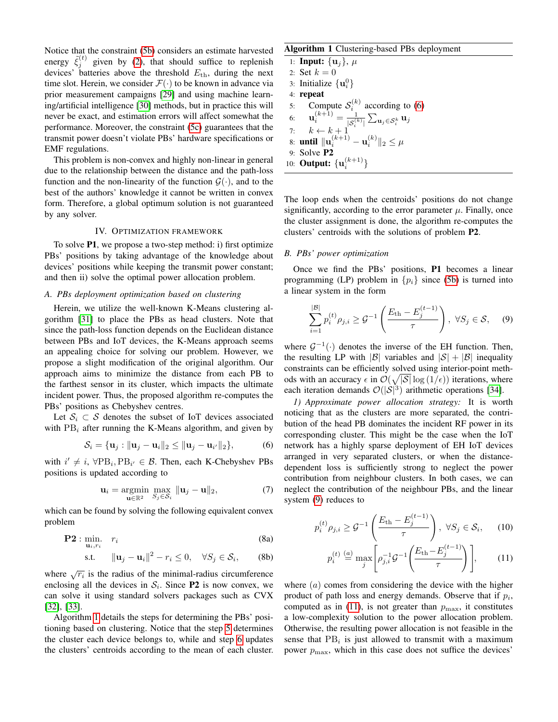Notice that the constraint [\(5b\)](#page-2-5) considers an estimate harvested energy  $\tilde{\xi}_j^{(t)}$  given by [\(2\)](#page-2-6), that should suffice to replenish devices' batteries above the threshold  $E_{\text{th}}$ , during the next time slot. Herein, we consider  $\mathcal{F}(\cdot)$  to be known in advance via prior measurement campaigns [\[29\]](#page-6-17) and using machine learning/artificial intelligence [\[30\]](#page-6-18) methods, but in practice this will never be exact, and estimation errors will affect somewhat the performance. Moreover, the constraint [\(5c\)](#page-2-7) guarantees that the transmit power doesn't violate PBs' hardware specifications or EMF regulations.

This problem is non-convex and highly non-linear in general due to the relationship between the distance and the path-loss function and the non-linearity of the function  $\mathcal{G}(\cdot)$ , and to the best of the authors' knowledge it cannot be written in convex form. Therefore, a global optimum solution is not guaranteed by any solver.

# IV. OPTIMIZATION FRAMEWORK

<span id="page-3-0"></span>To solve P1, we propose a two-step method: i) first optimize PBs' positions by taking advantage of the knowledge about devices' positions while keeping the transmit power constant; and then ii) solve the optimal power allocation problem.

# *A. PBs deployment optimization based on clustering*

Herein, we utilize the well-known K-Means clustering algorithm [\[31\]](#page-6-19) to place the PBs as head clusters. Note that since the path-loss function depends on the Euclidean distance between PBs and IoT devices, the K-Means approach seems an appealing choice for solving our problem. However, we propose a slight modification of the original algorithm. Our approach aims to minimize the distance from each PB to the farthest sensor in its cluster, which impacts the ultimate incident power. Thus, the proposed algorithm re-computes the PBs' positions as Chebyshev centres.

Let  $S_i \subset S$  denotes the subset of IoT devices associated with  $PB_i$  after running the K-Means algorithm, and given by

<span id="page-3-4"></span>
$$
\mathcal{S}_i = {\mathbf{u}_j : \|\mathbf{u}_j - \mathbf{u}_i\|_2 \leq \|\mathbf{u}_j - \mathbf{u}_{i'}\|_2},\tag{6}
$$

with  $i' \neq i$ ,  $\forall PB_i, PB_{i'} \in \mathcal{B}$ . Then, each K-Chebyshev PBs positions is updated according to

$$
\mathbf{u}_i = \underset{\mathbf{u} \in \mathbb{R}^2}{\text{argmin}} \ \underset{S_j \in \mathcal{S}_i}{\text{max}} \ \|\mathbf{u}_j - \mathbf{u}\|_2,\tag{7}
$$

which can be found by solving the following equivalent convex problem

$$
\mathbf{P2}: \min_{\mathbf{u}_i, r_i} \quad r_i \tag{8a}
$$

$$
\text{s.t.} \qquad \|\mathbf{u}_j - \mathbf{u}_i\|^2 - r_i \le 0, \quad \forall S_j \in \mathcal{S}_i,\qquad(8b)
$$

where  $\sqrt{r_i}$  is the radius of the minimal-radius circumference enclosing all the devices in  $S_i$ . Since **P2** is now convex, we can solve it using standard solvers packages such as CVX [\[32\]](#page-6-20), [\[33\]](#page-6-21).

Algorithm [1](#page-3-1) details the steps for determining the PBs' positioning based on clustering. Notice that the step [5](#page-3-2) determines the cluster each device belongs to, while and step [6](#page-3-3) updates the clusters' centroids according to the mean of each cluster.

# <span id="page-3-1"></span>Algorithm 1 Clustering-based PBs deployment

<span id="page-3-3"></span><span id="page-3-2"></span>1: Input:  $\{u_i\}$ ,  $\mu$ 2: Set  $k = 0$ 3: Initialize  $\{u_i^0\}$ 4: repeat 5: Compute  $S_i^{(k)}$  according to [\(6\)](#page-3-4)  $\mathbf{6:} \qquad \mathbf{u}_{i}^{(k+1)} = \frac{1}{|\mathcal{S}_{i}^{(k)}|} \sum_{\mathbf{u}_{j} \in \mathcal{S}_{i}^{k}} \mathbf{u}_{j}$ 7:  $k \leftarrow k + 1$ 8: **until**  $\|\mathbf{u}^{(k+1)}_i - \mathbf{u}^{(k)}_i\|_2 \leq \mu$ 9: Solve P2 10: **Output:**  $\{u_i^{(k+1)}\}$ 

The loop ends when the centroids' positions do not change significantly, according to the error parameter  $\mu$ . Finally, once the cluster assignment is done, the algorithm re-computes the clusters' centroids with the solutions of problem P2.

### *B. PBs' power optimization*

Once we find the PBs' positions, P1 becomes a linear programming (LP) problem in  $\{p_i\}$  since [\(5b\)](#page-2-5) is turned into a linear system in the form

<span id="page-3-5"></span>
$$
\sum_{i=1}^{|\mathcal{B}|} p_i^{(t)} \rho_{j,i} \ge \mathcal{G}^{-1}\left(\frac{E_{\text{th}} - E_j^{(t-1)}}{\tau}\right), \ \forall S_j \in \mathcal{S}, \quad (9)
$$

where  $\mathcal{G}^{-1}(\cdot)$  denotes the inverse of the EH function. Then, the resulting LP with  $|\mathcal{B}|$  variables and  $|\mathcal{S}| + |\mathcal{B}|$  inequality constraints can be efficiently solved using interior-point methods with an accuracy  $\epsilon$  in  $\mathcal{O}(\sqrt{|\mathcal{S}|}\log(1/\epsilon))$  iterations, where each iteration demands  $\mathcal{O}(|\mathcal{S}|^3)$  arithmetic operations [\[34\]](#page-6-22).

*1) Approximate power allocation strategy:* It is worth noticing that as the clusters are more separated, the contribution of the head PB dominates the incident RF power in its corresponding cluster. This might be the case when the IoT network has a highly sparse deployment of EH IoT devices arranged in very separated clusters, or when the distancedependent loss is sufficiently strong to neglect the power contribution from neighbour clusters. In both cases, we can neglect the contribution of the neighbour PBs, and the linear system [\(9\)](#page-3-5) reduces to

$$
p_i^{(t)} \rho_{j,i} \ge \mathcal{G}^{-1}\left(\frac{E_{\text{th}} - E_j^{(t-1)}}{\tau}\right), \ \forall S_j \in \mathcal{S}_i, \qquad (10)
$$

<span id="page-3-6"></span>
$$
p_i^{(t)} \stackrel{(a)}{=} \max_j \left[ \rho_{j,i}^{-1} \mathcal{G}^{-1} \left( \frac{E_{\text{th}} - E_j^{(t-1)}}{\tau} \right) \right],\tag{11}
$$

where  $(a)$  comes from considering the device with the higher product of path loss and energy demands. Observe that if  $p_i$ , computed as in [\(11\)](#page-3-6), is not greater than  $p_{\text{max}}$ , it constitutes a low-complexity solution to the power allocation problem. Otherwise, the resulting power allocation is not feasible in the sense that  $PB_i$  is just allowed to transmit with a maximum power  $p_{\text{max}}$ , which in this case does not suffice the devices'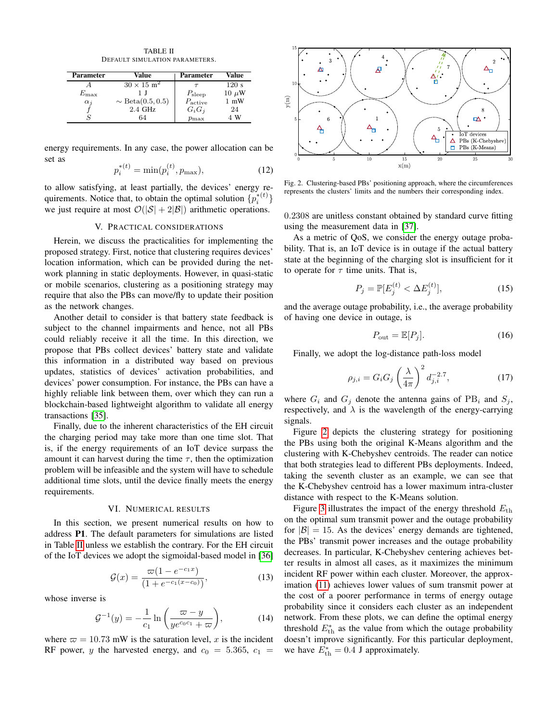TABLE II DEFAULT SIMULATION PARAMETERS.

<span id="page-4-2"></span>

| Parameter     | Value                      | <b>Parameter</b>    | Value          |
|---------------|----------------------------|---------------------|----------------|
|               | $30 \times 15 \text{ m}^2$ |                     | 120 s          |
| $E_{\rm max}$ |                            | $P_{\rm sleep}$     | $10 \mu W$     |
| $\alpha_i$    | $\sim$ Beta $(0.5, 0.5)$   | $P_{\text{active}}$ | $1 \text{ mW}$ |
|               | $2.4$ GHz                  | $G_iG_i$            | 24             |
|               | 64                         | $p_{\max}$          | w              |

energy requirements. In any case, the power allocation can be set as

$$
p_i^{*(t)} = \min(p_i^{(t)}, p_{\max}),\tag{12}
$$

to allow satisfying, at least partially, the devices' energy requirements. Notice that, to obtain the optimal solution  $\{p_i^{*(t)}\}$ we just require at most  $\mathcal{O}(|\mathcal{S}| + 2|\mathcal{B}|)$  arithmetic operations.

# V. PRACTICAL CONSIDERATIONS

<span id="page-4-0"></span>Herein, we discuss the practicalities for implementing the proposed strategy. First, notice that clustering requires devices' location information, which can be provided during the network planning in static deployments. However, in quasi-static or mobile scenarios, clustering as a positioning strategy may require that also the PBs can move/fly to update their position as the network changes.

Another detail to consider is that battery state feedback is subject to the channel impairments and hence, not all PBs could reliably receive it all the time. In this direction, we propose that PBs collect devices' battery state and validate this information in a distributed way based on previous updates, statistics of devices' activation probabilities, and devices' power consumption. For instance, the PBs can have a highly reliable link between them, over which they can run a blockchain-based lightweight algorithm to validate all energy transactions [\[35\]](#page-6-23).

Finally, due to the inherent characteristics of the EH circuit the charging period may take more than one time slot. That is, if the energy requirements of an IoT device surpass the amount it can harvest during the time  $\tau$ , then the optimization problem will be infeasible and the system will have to schedule additional time slots, until the device finally meets the energy requirements.

#### VI. NUMERICAL RESULTS

<span id="page-4-1"></span>In this section, we present numerical results on how to address P1. The default parameters for simulations are listed in Table [II](#page-4-2) unless we establish the contrary. For the EH circuit of the IoT devices we adopt the sigmoidal-based model in [\[36\]](#page-6-24)

$$
\mathcal{G}(x) = \frac{\varpi (1 - e^{-c_1 x})}{(1 + e^{-c_1 (x - c_0)})},\tag{13}
$$

whose inverse is

$$
G^{-1}(y) = -\frac{1}{c_1} \ln \left( \frac{\varpi - y}{y e^{c_0 c_1} + \varpi} \right),
$$
 (14)

where  $\varpi = 10.73$  mW is the saturation level, x is the incident RF power, y the harvested energy, and  $c_0 = 5.365$ ,  $c_1 =$ 



<span id="page-4-3"></span>Fig. 2. Clustering-based PBs' positioning approach, where the circumferences represents the clusters' limits and the numbers their corresponding index.

0.2308 are unitless constant obtained by standard curve fitting using the measurement data in [\[37\]](#page-6-25).

As a metric of QoS, we consider the energy outage probability. That is, an IoT device is in outage if the actual battery state at the beginning of the charging slot is insufficient for it to operate for  $\tau$  time units. That is,

$$
P_j = \mathbb{P}[E_j^{(t)} < \Delta E_j^{(t)}],\tag{15}
$$

and the average outage probability, i.e., the average probability of having one device in outage, is

$$
P_{\text{out}} = \mathbb{E}[P_j].\tag{16}
$$

Finally, we adopt the log-distance path-loss model

$$
\rho_{j,i} = G_i G_j \left(\frac{\lambda}{4\pi}\right)^2 d_{j,i}^{-2.7},\tag{17}
$$

where  $G_i$  and  $G_j$  denote the antenna gains of PB<sub>i</sub> and  $S_j$ , respectively, and  $\lambda$  is the wavelength of the energy-carrying signals.

Figure [2](#page-4-3) depicts the clustering strategy for positioning the PBs using both the original K-Means algorithm and the clustering with K-Chebyshev centroids. The reader can notice that both strategies lead to different PBs deployments. Indeed, taking the seventh cluster as an example, we can see that the K-Chebyshev centroid has a lower maximum intra-cluster distance with respect to the K-Means solution.

Figure [3](#page-5-12) illustrates the impact of the energy threshold  $E_{\text{th}}$ on the optimal sum transmit power and the outage probability for  $|\mathcal{B}| = 15$ . As the devices' energy demands are tightened, the PBs' transmit power increases and the outage probability decreases. In particular, K-Chebyshev centering achieves better results in almost all cases, as it maximizes the minimum incident RF power within each cluster. Moreover, the approximation [\(11\)](#page-3-6) achieves lower values of sum transmit power at the cost of a poorer performance in terms of energy outage probability since it considers each cluster as an independent network. From these plots, we can define the optimal energy threshold  $E_{\text{th}}^{*}$  as the value from which the outage probability doesn't improve significantly. For this particular deployment, we have  $E_{\text{th}}^* = 0.4$  J approximately.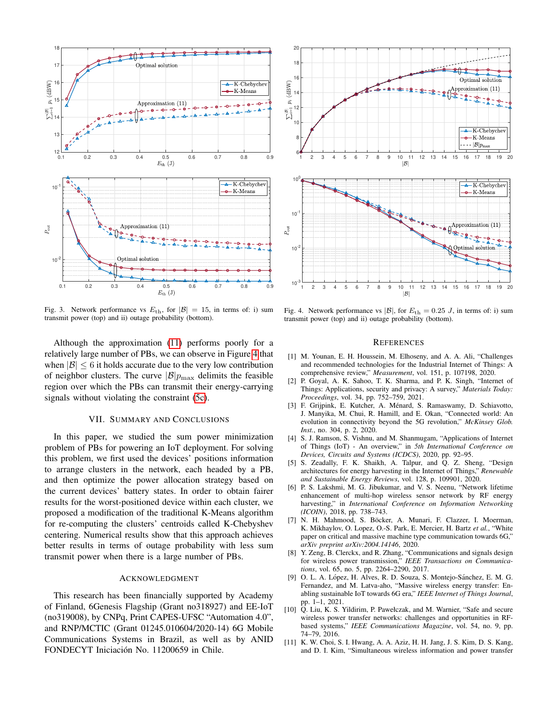

<span id="page-5-12"></span>Fig. 3. Network performance vs  $E_{\text{th}}$ , for  $|\mathcal{B}| = 15$ , in terms of: i) sum transmit power (top) and ii) outage probability (bottom).

Although the approximation [\(11\)](#page-3-6) performs poorly for a relatively large number of PBs, we can observe in Figure [4](#page-5-13) that when  $|\mathcal{B}| \leq 6$  it holds accurate due to the very low contribution of neighbor clusters. The curve  $\frac{|B|p_{\text{max}}}{\text{d}$  delimits the feasible region over which the PBs can transmit their energy-carrying signals without violating the constraint [\(5c\)](#page-2-7).

# VII. SUMMARY AND CONCLUSIONS

<span id="page-5-11"></span>In this paper, we studied the sum power minimization problem of PBs for powering an IoT deployment. For solving this problem, we first used the devices' positions information to arrange clusters in the network, each headed by a PB, and then optimize the power allocation strategy based on the current devices' battery states. In order to obtain fairer results for the worst-positioned device within each cluster, we proposed a modification of the traditional K-Means algorithm for re-computing the clusters' centroids called K-Chebyshev centering. Numerical results show that this approach achieves better results in terms of outage probability with less sum transmit power when there is a large number of PBs.

#### **ACKNOWLEDGMENT**

This research has been financially supported by Academy of Finland, 6Genesis Flagship (Grant no318927) and EE-IoT (no319008), by CNPq, Print CAPES-UFSC "Automation 4.0", and RNP/MCTIC (Grant 01245.010604/2020-14) 6G Mobile Communications Systems in Brazil, as well as by ANID FONDECYT Iniciación No. 11200659 in Chile.



<span id="page-5-13"></span>Fig. 4. Network performance vs  $|\mathcal{B}|$ , for  $E_{th} = 0.25$  J, in terms of: i) sum transmit power (top) and ii) outage probability (bottom).

#### **REFERENCES**

- <span id="page-5-0"></span>[1] M. Younan, E. H. Houssein, M. Elhoseny, and A. A. Ali, "Challenges and recommended technologies for the Industrial Internet of Things: A comprehensive review," *Measurement*, vol. 151, p. 107198, 2020.
- <span id="page-5-1"></span>[2] P. Goyal, A. K. Sahoo, T. K. Sharma, and P. K. Singh, "Internet of Things: Applications, security and privacy: A survey," *Materials Today: Proceedings*, vol. 34, pp. 752–759, 2021.
- <span id="page-5-2"></span>[3] F. Grijpink, E. Kutcher, A. Ménard, S. Ramaswamy, D. Schiavotto, J. Manyika, M. Chui, R. Hamill, and E. Okan, "Connected world: An evolution in connectivity beyond the 5G revolution," *McKinsey Glob. Inst.*, no. 304, p. 2, 2020.
- <span id="page-5-3"></span>[4] S. J. Ramson, S. Vishnu, and M. Shanmugam, "Applications of Internet of Things (IoT) - An overview," in *5th International Conference on Devices, Circuits and Systems (ICDCS)*, 2020, pp. 92–95.
- <span id="page-5-4"></span>[5] S. Zeadally, F. K. Shaikh, A. Talpur, and Q. Z. Sheng, "Design architectures for energy harvesting in the Internet of Things," *Renewable and Sustainable Energy Reviews*, vol. 128, p. 109901, 2020.
- <span id="page-5-5"></span>[6] P. S. Lakshmi, M. G. Jibukumar, and V. S. Neenu, "Network lifetime enhancement of multi-hop wireless sensor network by RF energy harvesting," in *International Conference on Information Networking (ICOIN)*, 2018, pp. 738–743.
- <span id="page-5-6"></span>[7] N. H. Mahmood, S. Böcker, A. Munari, F. Clazzer, I. Moerman, K. Mikhaylov, O. Lopez, O.-S. Park, E. Mercier, H. Bartz *et al.*, "White paper on critical and massive machine type communication towards 6G," *arXiv preprint arXiv:2004.14146*, 2020.
- <span id="page-5-7"></span>[8] Y. Zeng, B. Clerckx, and R. Zhang, "Communications and signals design for wireless power transmission," *IEEE Transactions on Communications*, vol. 65, no. 5, pp. 2264–2290, 2017.
- <span id="page-5-8"></span>O. L. A. López, H. Alves, R. D. Souza, S. Montejo-Sánchez, E. M. G. Fernandez, and M. Latva-aho, "Massive wireless energy transfer: Enabling sustainable IoT towards 6G era," *IEEE Internet of Things Journal*, pp. 1–1, 2021.
- <span id="page-5-9"></span>[10] Q. Liu, K. S. Yildirim, P. Pawełczak, and M. Warnier, "Safe and secure wireless power transfer networks: challenges and opportunities in RFbased systems," *IEEE Communications Magazine*, vol. 54, no. 9, pp. 74–79, 2016.
- <span id="page-5-10"></span>[11] K. W. Choi, S. I. Hwang, A. A. Aziz, H. H. Jang, J. S. Kim, D. S. Kang, and D. I. Kim, "Simultaneous wireless information and power transfer